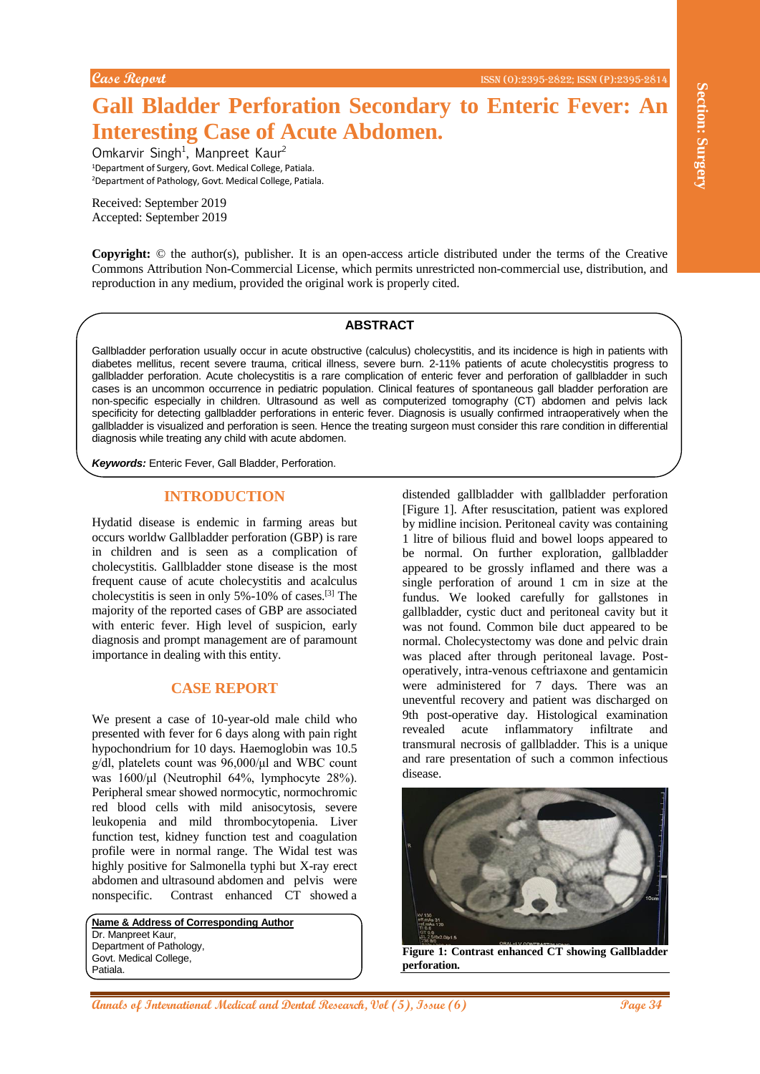# **Gall Bladder Perforation Secondary to Enteric Fever: An Interesting Case of Acute Abdomen.**

Omkarvir Singh<sup>1</sup>, Manpreet Kaur<sup>2</sup> <sup>1</sup>Department of Surgery, Govt. Medical College, Patiala. <sup>2</sup>Department of Pathology, Govt. Medical College, Patiala.

Received: September 2019 Accepted: September 2019

**Copyright:** © the author(s), publisher. It is an open-access article distributed under the terms of the Creative Commons Attribution Non-Commercial License, which permits unrestricted non-commercial use, distribution, and reproduction in any medium, provided the original work is properly cited.

#### **ABSTRACT**

Gallbladder perforation usually occur in acute obstructive (calculus) cholecystitis, and its incidence is high in patients with diabetes mellitus, recent severe trauma, critical illness, severe burn. 2-11% patients of acute cholecystitis progress to gallbladder perforation. Acute cholecystitis is a rare complication of enteric fever and perforation of gallbladder in such cases is an uncommon occurrence in pediatric population. Clinical features of spontaneous gall bladder perforation are non-specific especially in children. Ultrasound as well as computerized tomography (CT) abdomen and pelvis lack specificity for detecting gallbladder perforations in enteric fever. Diagnosis is usually confirmed intraoperatively when the gallbladder is visualized and perforation is seen. Hence the treating surgeon must consider this rare condition in differential diagnosis while treating any child with acute abdomen.

*Keywords:* Enteric Fever, Gall Bladder, Perforation.

#### **INTRODUCTION**

Hydatid disease is endemic in farming areas but occurs worldw Gallbladder perforation (GBP) is rare in children and is seen as a complication of cholecystitis. Gallbladder stone disease is the most frequent cause of acute cholecystitis and acalculus cholecystitis is seen in only 5%-10% of cases.[3] The majority of the reported cases of GBP are associated with enteric fever. High level of suspicion, early diagnosis and prompt management are of paramount importance in dealing with this entity.

### **CASE REPORT**

We present a case of 10-year-old male child who presented with fever for 6 days along with pain right hypochondrium for 10 days. Haemoglobin was 10.5 g/dl, platelets count was 96,000/μl and WBC count was 1600/μl (Neutrophil 64%, lymphocyte 28%). Peripheral smear showed normocytic, normochromic red blood cells with mild anisocytosis, severe leukopenia and mild thrombocytopenia. Liver function test, kidney function test and coagulation profile were in normal range. The Widal test was highly positive for Salmonella typhi but X-ray erect abdomen and ultrasound abdomen and pelvis were nonspecific. Contrast enhanced CT showed a

**Name & Address of Corresponding Author** Dr. Manpreet Kaur, Department of Pathology. Govt. Medical College, Patiala.

**Annals of International Secondary to Enteric Fever: An**<br> **Anniham Case of Actic Abdomen,**<br>
Contains single, Manpark Kan-<br>
Contains single, Manpark Kan-<br>
Contains single Medical Associations and the section of the section distended gallbladder with gallbladder perforation [Figure 1]. After resuscitation, patient was explored by midline incision. Peritoneal cavity was containing 1 litre of bilious fluid and bowel loops appeared to be normal. On further exploration, gallbladder appeared to be grossly inflamed and there was a single perforation of around 1 cm in size at the fundus. We looked carefully for gallstones in gallbladder, cystic duct and peritoneal cavity but it was not found. Common bile duct appeared to be normal. Cholecystectomy was done and pelvic drain was placed after through peritoneal lavage. Postoperatively, intra-venous ceftriaxone and gentamicin were administered for 7 days. There was an uneventful recovery and patient was discharged on 9th post-operative day. Histological examination revealed acute inflammatory infiltrate and transmural necrosis of gallbladder. This is a unique and rare presentation of such a common infectious disease.



**Figure 1: Contrast enhanced CT showing Gallbladder perforation.**